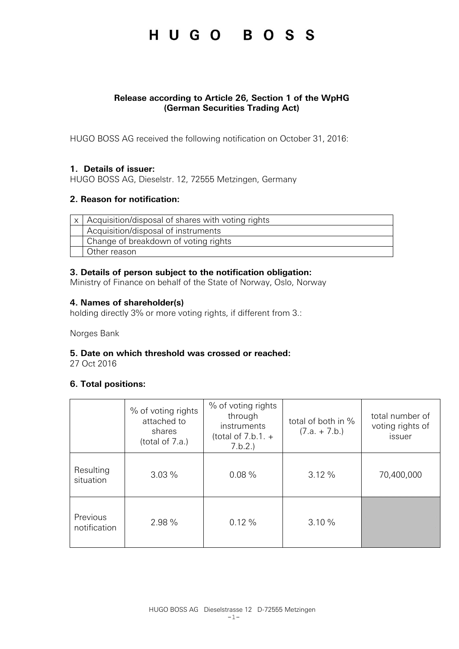## HUGO BOSS

## **Release according to Article 26, Section 1 of the WpHG (German Securities Trading Act)**

HUGO BOSS AG received the following notification on October 31, 2016:

## **1. Details of issuer:**

HUGO BOSS AG, Dieselstr. 12, 72555 Metzingen, Germany

## **2. Reason for notification:**

| $x$   Acquisition/disposal of shares with voting rights |
|---------------------------------------------------------|
| Acquisition/disposal of instruments                     |
| Change of breakdown of voting rights                    |
| Other reason                                            |

## **3. Details of person subject to the notification obligation:**

Ministry of Finance on behalf of the State of Norway, Oslo, Norway

## **4. Names of shareholder(s)**

holding directly 3% or more voting rights, if different from 3.:

Norges Bank

### **5. Date on which threshold was crossed or reached:**

27 Oct 2016

### **6. Total positions:**

|                                          | % of voting rights<br>attached to<br>shares<br>(total of 7.a.) | % of voting rights<br>through<br>instruments<br>(total of $7.b.1. +$<br>7.b.2. | total of both in %<br>$(7.a. + 7.b.)$ | total number of<br>voting rights of<br>issuer |
|------------------------------------------|----------------------------------------------------------------|--------------------------------------------------------------------------------|---------------------------------------|-----------------------------------------------|
| Resulting<br>0.08%<br>3.03%<br>situation |                                                                |                                                                                | 3.12%                                 | 70,400,000                                    |
| Previous<br>notification                 | 2.98 %                                                         | 0.12%                                                                          | 3.10%                                 |                                               |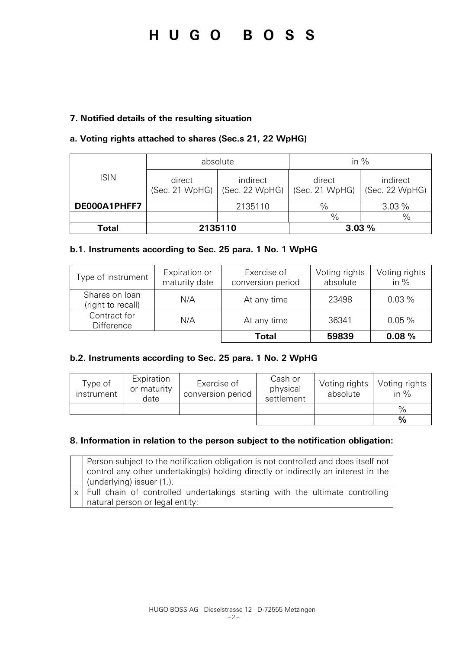# HUGO BOSS

## **7. Notified details of the resulting situation**

## **a. Voting rights attached to shares (Sec.s 21, 22 WpHG)**

|              | absolute                 |                            | in $%$                   |                            |  |
|--------------|--------------------------|----------------------------|--------------------------|----------------------------|--|
| <b>ISIN</b>  | direct<br>(Sec. 21 WpHG) | indirect<br>(Sec. 22 WpHG) | direct<br>(Sec. 21 WpHG) | indirect<br>(Sec. 22 WpHG) |  |
| DE000A1PHFF7 |                          | 2135110                    | $\frac{0}{0}$            | 3.03%                      |  |
|              |                          |                            | $\frac{0}{0}$            | $\frac{0}{0}$              |  |
| Total        | 2135110                  |                            |                          | 3.03%                      |  |

### **b.1. Instruments according to Sec. 25 para. 1 No. 1 WpHG**

| Type of instrument                  | Expiration or<br>maturity date | Exercise of<br>conversion period | Voting rights<br>absolute | Voting rights<br>in $%$ |
|-------------------------------------|--------------------------------|----------------------------------|---------------------------|-------------------------|
| Shares on loan<br>(right to recall) | N/A                            | At any time                      | 23498                     | 0.03%                   |
| Contract for<br><b>Difference</b>   | N/A                            | At any time                      | 36341                     | $0.05\%$                |
|                                     |                                | Total                            | 59839                     | 0.08%                   |

### **b.2. Instruments according to Sec. 25 para. 1 No. 2 WpHG**

| Type of<br>instrument | Expiration<br>or maturity<br>date | Exercise of<br>conversion period | Cash or<br>physical<br>settlement | Voting rights<br>absolute | Voting rights<br>in $%$ |
|-----------------------|-----------------------------------|----------------------------------|-----------------------------------|---------------------------|-------------------------|
|                       |                                   |                                  |                                   |                           | $\frac{0}{0}$           |
|                       |                                   |                                  |                                   |                           | $\frac{0}{0}$           |

#### **8. Information in relation to the person subject to the notification obligation:**

| Person subject to the notification obligation is not controlled and does itself not<br>control any other undertaking(s) holding directly or indirectly an interest in the<br>(underlying) issuer (1.). |
|--------------------------------------------------------------------------------------------------------------------------------------------------------------------------------------------------------|
| x   Full chain of controlled undertakings starting with the ultimate controlling<br>natural person or legal entity:                                                                                    |